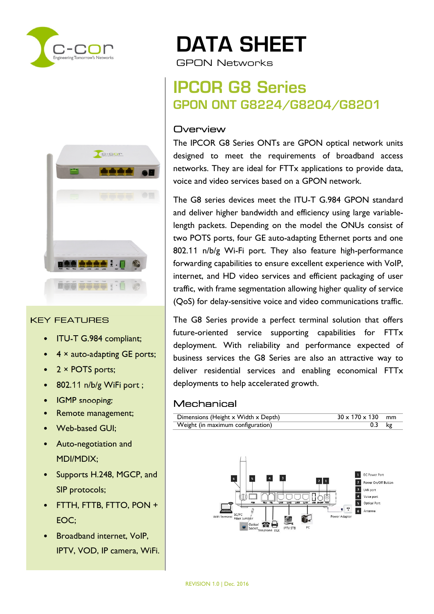



#### KEY FEATURES

- ITU-T G.984 compliant;
- $4 \times$  auto-adapting GE ports;
- $\bullet$  2 × POTS ports;
- 802.11 n/b/g WiFi port;
- IGMP snooping;
- Remote management;
- Web-based GUI;
- Auto-negotiation and MDI/MDIX;
- Supports H.248, MGCP, and SIP protocols;
- FTTH, FTTB, FTTO, PON + EOC;
- Broadband internet, VoIP, IPTV, VOD, IP camera, WiFi.

# DATA SHEET

GPON Networks

## IPCOR G8 Series GPON ONT G8224/G8204/G8201

#### **Overview**

The IPCOR G8 Series ONTs are GPON optical network units designed to meet the requirements of broadband access networks. They are ideal for FTTx applications to provide data, voice and video services based on a GPON network.

The G8 series devices meet the ITU-T G.984 GPON standard and deliver higher bandwidth and efficiency using large variablelength packets. Depending on the model the ONUs consist of two POTS ports, four GE auto-adapting Ethernet ports and one 802.11 n/b/g Wi-Fi port. They also feature high-performance forwarding capabilities to ensure excellent experience with VoIP, internet, and HD video services and efficient packaging of user traffic, with frame segmentation allowing higher quality of service (QoS) for delay-sensitive voice and video communications traffic.

The G8 Series provide a perfect terminal solution that offers future-oriented service supporting capabilities for FTTx deployment. With reliability and performance expected of business services the G8 Series are also an attractive way to deliver residential services and enabling economical FTTx deployments to help accelerated growth.

#### Mechanical

| Dimensions (Height x Width x Depth) | $30 \times 170 \times 130$ mm |  |
|-------------------------------------|-------------------------------|--|
| Weight (in maximum configuration)   | $0.3$ kg                      |  |

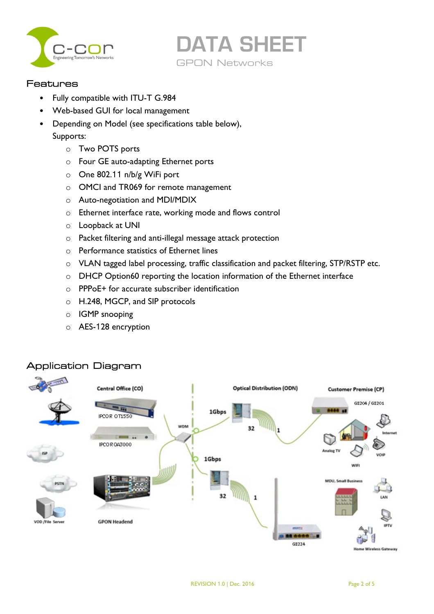



#### Features

- Fully compatible with ITU-T G.984
- Web-based GUI for local management
- Depending on Model (see specifications table below),
	- Supports:
		- o Two POTS ports
		- o Four GE auto-adapting Ethernet ports
		- o One 802.11 n/b/g WiFi port
		- o OMCI and TR069 for remote management
		- o Auto-negotiation and MDI/MDIX
		- o Ethernet interface rate, working mode and flows control
		- o Loopback at UNI
		- o Packet filtering and anti-illegal message attack protection
		- o Performance statistics of Ethernet lines
		- o VLAN tagged label processing, traffic classification and packet filtering, STP/RSTP etc.
		- o DHCP Option60 reporting the location information of the Ethernet interface
		- o PPPoE+ for accurate subscriber identification
		- o H.248, MGCP, and SIP protocols
		- o IGMP snooping
		- o AES-128 encryption

#### Application Diagram

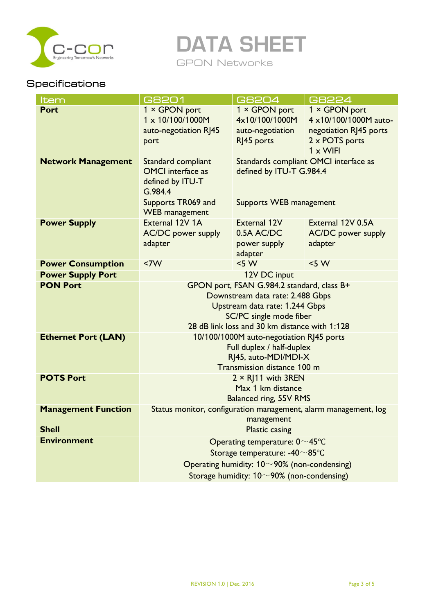

DATA SHEET

GPON Networks

## **Specifications**

| <b>Item</b>                | G8201                                                                    | <b>G8204</b>             | G8224                     |
|----------------------------|--------------------------------------------------------------------------|--------------------------|---------------------------|
| <b>Port</b>                | 1 × GPON port                                                            | 1 × GPON port            | 1 × GPON port             |
|                            | 1 x 10/100/1000M                                                         | 4x10/100/1000M           | 4 x10/100/1000M auto-     |
|                            | auto-negotiation RJ45                                                    | auto-negotiation         | negotiation RJ45 ports    |
|                            | port                                                                     | RJ45 ports               | 2 x POTS ports            |
|                            |                                                                          |                          | $1 \times$ WIFI           |
| <b>Network Management</b>  | Standards compliant OMCI interface as<br>Standard compliant              |                          |                           |
|                            | <b>OMCI</b> interface as                                                 | defined by ITU-T G.984.4 |                           |
|                            | defined by ITU-T                                                         |                          |                           |
|                            | G.984.4                                                                  |                          |                           |
|                            | Supports TR069 and<br>Supports WEB management<br><b>WEB</b> management   |                          |                           |
| <b>Power Supply</b>        | External 12V 1A                                                          | External 12V             | External 12V 0.5A         |
|                            | <b>AC/DC</b> power supply                                                | 0.5A AC/DC               | <b>AC/DC</b> power supply |
|                            | adapter                                                                  | power supply             | adapter                   |
|                            |                                                                          | adapter                  |                           |
| <b>Power Consumption</b>   | <7W                                                                      | $<$ 5 W                  | < 5 W                     |
| <b>Power Supply Port</b>   | 12V DC input                                                             |                          |                           |
| <b>PON Port</b>            | GPON port, FSAN G.984.2 standard, class B+                               |                          |                           |
|                            | Downstream data rate: 2.488 Gbps                                         |                          |                           |
|                            | Upstream data rate: 1.244 Gbps                                           |                          |                           |
|                            | SC/PC single mode fiber<br>28 dB link loss and 30 km distance with 1:128 |                          |                           |
|                            |                                                                          |                          |                           |
| <b>Ethernet Port (LAN)</b> | 10/100/1000M auto-negotiation RJ45 ports                                 |                          |                           |
|                            | Full duplex / half-duplex<br>RJ45, auto-MDI/MDI-X                        |                          |                           |
|                            | Transmission distance 100 m                                              |                          |                           |
| <b>POTS Port</b>           | $2 \times R$ ]11 with 3REN                                               |                          |                           |
|                            | Max 1 km distance                                                        |                          |                           |
|                            | <b>Balanced ring, 55V RMS</b>                                            |                          |                           |
| <b>Management Function</b> | Status monitor, configuration management, alarm management, log          |                          |                           |
|                            |                                                                          | management               |                           |
| <b>Shell</b>               | <b>Plastic casing</b>                                                    |                          |                           |
| <b>Environment</b>         | Operating temperature: $0 \sim 45^{\circ}$ C                             |                          |                           |
|                            | Storage temperature: -40~85°C                                            |                          |                           |
|                            | Operating humidity: $10~90\%$ (non-condensing)                           |                          |                           |
|                            | Storage humidity: $10~90%$ (non-condensing)                              |                          |                           |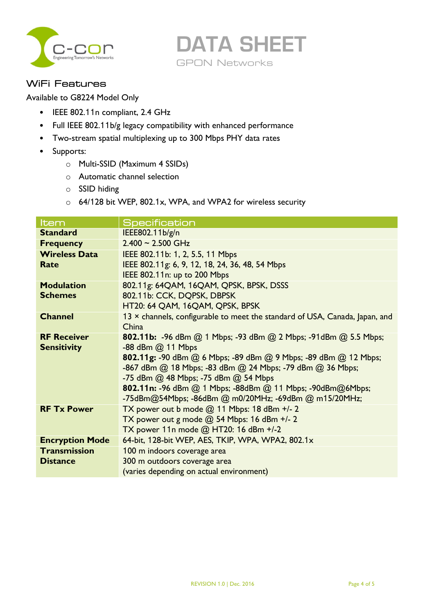



#### WiFi Features

Available to G8224 Model Only

- IEEE 802.11n compliant, 2.4 GHz
- Full IEEE 802.11b/g legacy compatibility with enhanced performance
- Two-stream spatial multiplexing up to 300 Mbps PHY data rates
- Supports:
	- o Multi-SSID (Maximum 4 SSIDs)
	- o Automatic channel selection
	- o SSID hiding
	- o 64/128 bit WEP, 802.1x, WPA, and WPA2 for wireless security

| <b>Standard</b><br>IEEE802.11b/g/n<br>$2.400 \sim 2.500$ GHz<br><b>Frequency</b><br>IEEE 802.11b: 1, 2, 5.5, 11 Mbps<br><b>Wireless Data</b><br>IEEE 802.11g: 6, 9, 12, 18, 24, 36, 48, 54 Mbps<br>Rate<br>IEEE 802.11n: up to 200 Mbps<br><b>Modulation</b><br>802.11g: 64QAM, 16QAM, QPSK, BPSK, DSSS<br>802.11b: CCK, DQPSK, DBPSK<br><b>Schemes</b><br>HT20: 64 QAM, 16QAM, QPSK, BPSK<br><b>Channel</b><br>13 × channels, configurable to meet the standard of USA, Canada, Japan, and<br>China<br><b>RF Receiver</b><br><b>802.11b:</b> -96 dBm @ 1 Mbps; -93 dBm @ 2 Mbps; -91dBm @ 5.5 Mbps;<br><b>Sensitivity</b><br>-88 dBm @ 11 Mbps<br>802.11g: -90 dBm @ 6 Mbps; -89 dBm @ 9 Mbps; -89 dBm @ 12 Mbps;<br>-867 dBm @ 18 Mbps; -83 dBm @ 24 Mbps; -79 dBm @ 36 Mbps;<br>-75 dBm @ 48 Mbps; -75 dBm @ 54 Mbps<br>802.11n: -96 dBm @ 1 Mbps; -88dBm @ 11 Mbps; -90dBm@6Mbps;<br>-75dBm@54Mbps; -86dBm @ m0/20MHz; -69dBm @ m15/20MHz;<br>TX power out b mode $@$ 11 Mbps: 18 dBm +/- 2<br><b>RF Tx Power</b><br>TX power out g mode @ 54 Mbps: 16 dBm +/- 2<br>TX power 11n mode @ HT20: 16 dBm +/-2<br>64-bit, 128-bit WEP, AES, TKIP, WPA, WPA2, 802.1x<br><b>Encryption Mode</b><br><b>Transmission</b><br>100 m indoors coverage area | Item | <b>Specification</b> |
|----------------------------------------------------------------------------------------------------------------------------------------------------------------------------------------------------------------------------------------------------------------------------------------------------------------------------------------------------------------------------------------------------------------------------------------------------------------------------------------------------------------------------------------------------------------------------------------------------------------------------------------------------------------------------------------------------------------------------------------------------------------------------------------------------------------------------------------------------------------------------------------------------------------------------------------------------------------------------------------------------------------------------------------------------------------------------------------------------------------------------------------------------------------------------------------------------------------------------------------------------|------|----------------------|
|                                                                                                                                                                                                                                                                                                                                                                                                                                                                                                                                                                                                                                                                                                                                                                                                                                                                                                                                                                                                                                                                                                                                                                                                                                                    |      |                      |
|                                                                                                                                                                                                                                                                                                                                                                                                                                                                                                                                                                                                                                                                                                                                                                                                                                                                                                                                                                                                                                                                                                                                                                                                                                                    |      |                      |
|                                                                                                                                                                                                                                                                                                                                                                                                                                                                                                                                                                                                                                                                                                                                                                                                                                                                                                                                                                                                                                                                                                                                                                                                                                                    |      |                      |
|                                                                                                                                                                                                                                                                                                                                                                                                                                                                                                                                                                                                                                                                                                                                                                                                                                                                                                                                                                                                                                                                                                                                                                                                                                                    |      |                      |
|                                                                                                                                                                                                                                                                                                                                                                                                                                                                                                                                                                                                                                                                                                                                                                                                                                                                                                                                                                                                                                                                                                                                                                                                                                                    |      |                      |
|                                                                                                                                                                                                                                                                                                                                                                                                                                                                                                                                                                                                                                                                                                                                                                                                                                                                                                                                                                                                                                                                                                                                                                                                                                                    |      |                      |
|                                                                                                                                                                                                                                                                                                                                                                                                                                                                                                                                                                                                                                                                                                                                                                                                                                                                                                                                                                                                                                                                                                                                                                                                                                                    |      |                      |
|                                                                                                                                                                                                                                                                                                                                                                                                                                                                                                                                                                                                                                                                                                                                                                                                                                                                                                                                                                                                                                                                                                                                                                                                                                                    |      |                      |
|                                                                                                                                                                                                                                                                                                                                                                                                                                                                                                                                                                                                                                                                                                                                                                                                                                                                                                                                                                                                                                                                                                                                                                                                                                                    |      |                      |
|                                                                                                                                                                                                                                                                                                                                                                                                                                                                                                                                                                                                                                                                                                                                                                                                                                                                                                                                                                                                                                                                                                                                                                                                                                                    |      |                      |
|                                                                                                                                                                                                                                                                                                                                                                                                                                                                                                                                                                                                                                                                                                                                                                                                                                                                                                                                                                                                                                                                                                                                                                                                                                                    |      |                      |
|                                                                                                                                                                                                                                                                                                                                                                                                                                                                                                                                                                                                                                                                                                                                                                                                                                                                                                                                                                                                                                                                                                                                                                                                                                                    |      |                      |
|                                                                                                                                                                                                                                                                                                                                                                                                                                                                                                                                                                                                                                                                                                                                                                                                                                                                                                                                                                                                                                                                                                                                                                                                                                                    |      |                      |
|                                                                                                                                                                                                                                                                                                                                                                                                                                                                                                                                                                                                                                                                                                                                                                                                                                                                                                                                                                                                                                                                                                                                                                                                                                                    |      |                      |
|                                                                                                                                                                                                                                                                                                                                                                                                                                                                                                                                                                                                                                                                                                                                                                                                                                                                                                                                                                                                                                                                                                                                                                                                                                                    |      |                      |
|                                                                                                                                                                                                                                                                                                                                                                                                                                                                                                                                                                                                                                                                                                                                                                                                                                                                                                                                                                                                                                                                                                                                                                                                                                                    |      |                      |
|                                                                                                                                                                                                                                                                                                                                                                                                                                                                                                                                                                                                                                                                                                                                                                                                                                                                                                                                                                                                                                                                                                                                                                                                                                                    |      |                      |
|                                                                                                                                                                                                                                                                                                                                                                                                                                                                                                                                                                                                                                                                                                                                                                                                                                                                                                                                                                                                                                                                                                                                                                                                                                                    |      |                      |
|                                                                                                                                                                                                                                                                                                                                                                                                                                                                                                                                                                                                                                                                                                                                                                                                                                                                                                                                                                                                                                                                                                                                                                                                                                                    |      |                      |
|                                                                                                                                                                                                                                                                                                                                                                                                                                                                                                                                                                                                                                                                                                                                                                                                                                                                                                                                                                                                                                                                                                                                                                                                                                                    |      |                      |
|                                                                                                                                                                                                                                                                                                                                                                                                                                                                                                                                                                                                                                                                                                                                                                                                                                                                                                                                                                                                                                                                                                                                                                                                                                                    |      |                      |
| 300 m outdoors coverage area<br><b>Distance</b>                                                                                                                                                                                                                                                                                                                                                                                                                                                                                                                                                                                                                                                                                                                                                                                                                                                                                                                                                                                                                                                                                                                                                                                                    |      |                      |
| (varies depending on actual environment)                                                                                                                                                                                                                                                                                                                                                                                                                                                                                                                                                                                                                                                                                                                                                                                                                                                                                                                                                                                                                                                                                                                                                                                                           |      |                      |